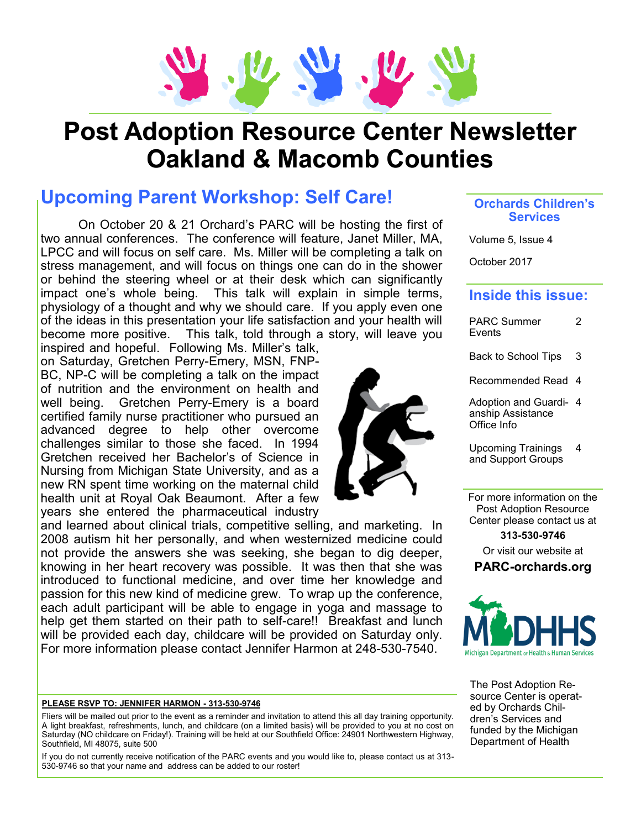

# **Post Adoption Resource Center Newsletter Oakland & Macomb Counties**

### **Upcoming Parent Workshop: Self Care!**

On October 20 & 21 Orchard's PARC will be hosting the first of two annual conferences. The conference will feature, Janet Miller, MA, LPCC and will focus on self care. Ms. Miller will be completing a talk on stress management, and will focus on things one can do in the shower or behind the steering wheel or at their desk which can significantly impact one's whole being. This talk will explain in simple terms, physiology of a thought and why we should care. If you apply even one of the ideas in this presentation your life satisfaction and your health will become more positive. This talk, told through a story, will leave you

inspired and hopeful. Following Ms. Miller's talk, on Saturday, Gretchen Perry-Emery, MSN, FNP-BC, NP-C will be completing a talk on the impact of nutrition and the environment on health and well being. Gretchen Perry-Emery is a board certified family nurse practitioner who pursued an advanced degree to help other overcome challenges similar to those she faced. In 1994 Gretchen received her Bachelor's of Science in Nursing from Michigan State University, and as a new RN spent time working on the maternal child health unit at Royal Oak Beaumont. After a few years she entered the pharmaceutical industry

and learned about clinical trials, competitive selling, and marketing. In 2008 autism hit her personally, and when westernized medicine could not provide the answers she was seeking, she began to dig deeper, knowing in her heart recovery was possible. It was then that she was introduced to functional medicine, and over time her knowledge and passion for this new kind of medicine grew. To wrap up the conference, each adult participant will be able to engage in yoga and massage to help get them started on their path to self-care!! Breakfast and lunch will be provided each day, childcare will be provided on Saturday only. For more information please contact Jennifer Harmon at 248-530-7540.

#### **PLEASE RSVP TO: JENNIFER HARMON - 313-530-9746**

Fliers will be mailed out prior to the event as a reminder and invitation to attend this all day training opportunity. A light breakfast, refreshments, lunch, and childcare (on a limited basis) will be provided to you at no cost on Saturday (NO childcare on Friday!). Training will be held at our Southfield Office: 24901 Northwestern Highway, Southfield, MI 48075, suite 500

If you do not currently receive notification of the PARC events and you would like to, please contact us at 313- 530-9746 so that your name and address can be added to our roster!

#### **Orchards Children's Services**

Volume 5, Issue 4

October 2017

#### **Inside this issue:**

Back to School Tips 3

Recommended Read 4

Adoption and Guardi-4 anship Assistance Office Info

Upcoming Trainings and Support Groups 4

For more information on the Post Adoption Resource Center please contact us at

**313-530-9746** Or visit our website at

**PARC-orchards.org**



The Post Adoption Resource Center is operated by Orchards Children's Services and funded by the Michigan Department of Health

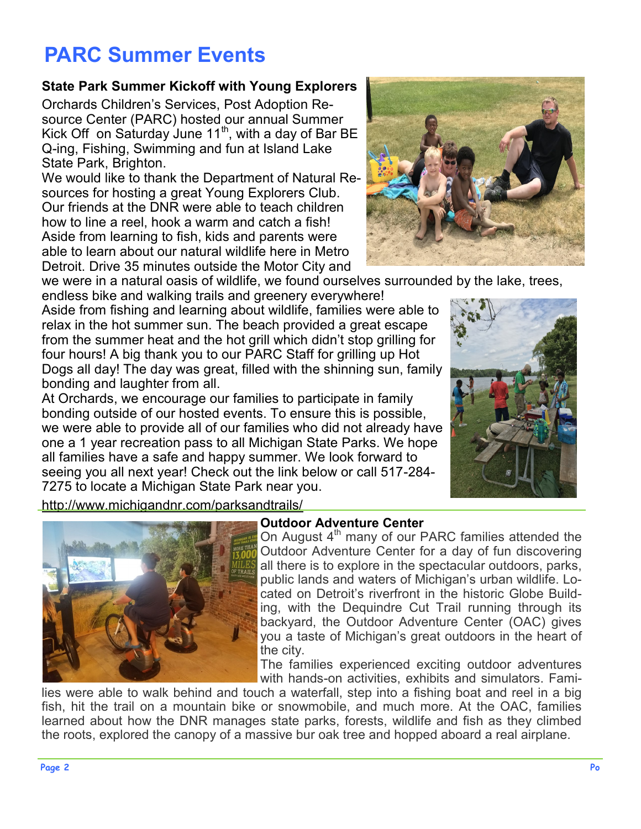# **PARC Summer Events**

### **State Park Summer Kickoff with Young Explorers**

Orchards Children's Services, Post Adoption Resource Center (PARC) hosted our annual Summer Kick Off on Saturday June  $11<sup>th</sup>$ , with a day of Bar BE Q-ing, Fishing, Swimming and fun at Island Lake State Park, Brighton.

We would like to thank the Department of Natural Resources for hosting a great Young Explorers Club. Our friends at the DNR were able to teach children how to line a reel, hook a warm and catch a fish! Aside from learning to fish, kids and parents were able to learn about our natural wildlife here in Metro Detroit. Drive 35 minutes outside the Motor City and



we were in a natural oasis of wildlife, we found ourselves surrounded by the lake, trees,

endless bike and walking trails and greenery everywhere! Aside from fishing and learning about wildlife, families were able to relax in the hot summer sun. The beach provided a great escape from the summer heat and the hot grill which didn't stop grilling for four hours! A big thank you to our PARC Staff for grilling up Hot Dogs all day! The day was great, filled with the shinning sun, family bonding and laughter from all.

At Orchards, we encourage our families to participate in family bonding outside of our hosted events. To ensure this is possible, we were able to provide all of our families who did not already have one a 1 year recreation pass to all Michigan State Parks. We hope all families have a safe and happy summer. We look forward to seeing you all next year! Check out the link below or call 517-284- 7275 to locate a Michigan State Park near you.



<http://www.michigandnr.com/parksandtrails/>



#### **Outdoor Adventure Center**

On August 4<sup>th</sup> many of our PARC families attended the Outdoor Adventure Center for a day of fun discovering all there is to explore in the spectacular outdoors, parks, public lands and waters of Michigan's urban wildlife. Located on Detroit's riverfront in the historic Globe Building, with the Dequindre Cut Trail running through its backyard, the Outdoor Adventure Center (OAC) gives you a taste of Michigan's great outdoors in the heart of the city.

The families experienced exciting outdoor adventures with hands-on activities, exhibits and simulators. Fami-

lies were able to walk behind and touch a waterfall, step into a fishing boat and reel in a big fish, hit the trail on a mountain bike or snowmobile, and much more. At the OAC, families learned about how the DNR manages state parks, forests, wildlife and fish as they climbed the roots, explored the canopy of a massive bur oak tree and hopped aboard a real airplane.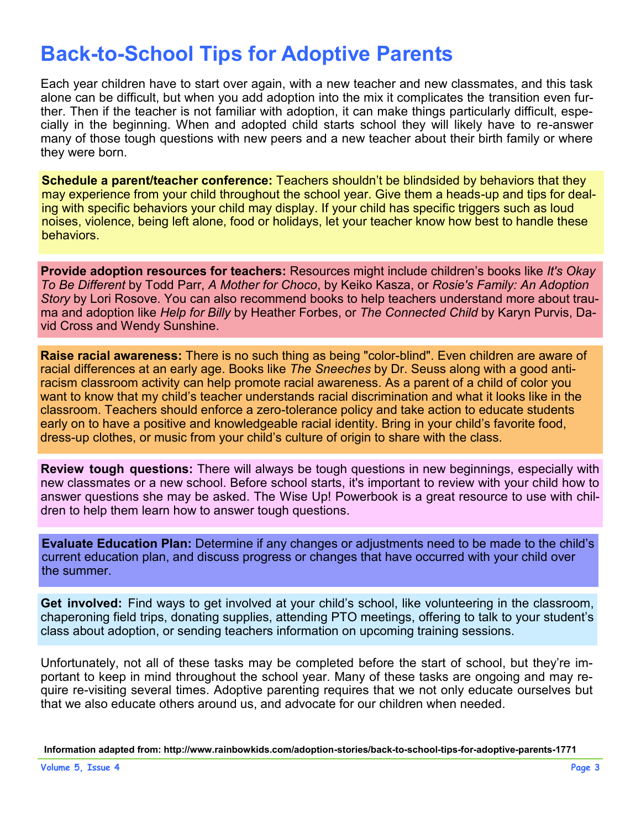### **Back-to-School Tips for Adoptive Parents**

Each year children have to start over again, with a new teacher and new classmates, and this task alone can be difficult, but when you add adoption into the mix it complicates the transition even further. Then if the teacher is not familiar with adoption, it can make things particularly difficult, especially in the beginning. When and adopted child starts school they will likely have to re-answer many of those tough questions with new peers and a new teacher about their birth family or where they were born.

**Schedule a parent/teacher conference:** Teachers shouldn't be blindsided by behaviors that they may experience from your child throughout the school year. Give them a heads-up and tips for dealing with specific behaviors your child may display. If your child has specific triggers such as loud noises, violence, being left alone, food or holidays, let your teacher know how best to handle these **behaviors** 

**Provide adoption resources for teachers:** Resources might include children's books like *It's Okay To Be Different* by Todd Parr, *A Mother for Choco*, by Keiko Kasza, or *Rosie's Family: An Adoption Story* by Lori Rosove. You can also recommend books to help teachers understand more about trauma and adoption like *Help for Billy* by Heather Forbes, or *The Connected Child* by Karyn Purvis, David Cross and Wendy Sunshine.

**Raise racial awareness:** There is no such thing as being "color-blind". Even children are aware of racial differences at an early age. Books like *The Sneeches* by Dr. Seuss along with a good [anti](http://www.tolerance.org/lesson/anti-racism-activity-sneetches)[racism classroom activity](http://www.tolerance.org/lesson/anti-racism-activity-sneetches) can help promote racial awareness. As a parent of a child of color you want to know that my child's teacher understands racial discrimination and what it looks like in the classroom. Teachers should enforce a zero-tolerance policy and take action to educate students early on to have a positive and knowledgeable racial identity. Bring in your child's favorite food, dress-up clothes, or music from your child's culture of origin to share with the class.

**Review tough questions:** There will always be tough questions in new beginnings, especially with new classmates or a new school. Before school starts, it's important to review with your child how to answer questions she may be asked. The [Wise Up! Powerbook](http://adoptionsupport.org/store/wise-up-sm-powerbook/) is a great resource to use with children to help them learn how to answer tough questions.

**Evaluate Education Plan:** Determine if any changes or adjustments need to be made to the child's current education plan, and discuss progress or changes that have occurred with your child over the summer.

**Get involved:** Find ways to get involved at your child's school, like volunteering in the classroom, chaperoning field trips, donating supplies, attending PTO meetings, offering to talk to your student's class about adoption, or sending teachers information on upcoming training sessions.

Unfortunately, not all of these tasks may be completed before the start of school, but they're important to keep in mind throughout the school year. Many of these tasks are ongoing and may require re-visiting several times. Adoptive parenting requires that we not only educate ourselves but that we also educate others around us, and advocate for our children when needed.

Information adapted from: http://www.rainbowkids.com/adoption-stories/back-to-school-tips-for-adoptive-parents-1771